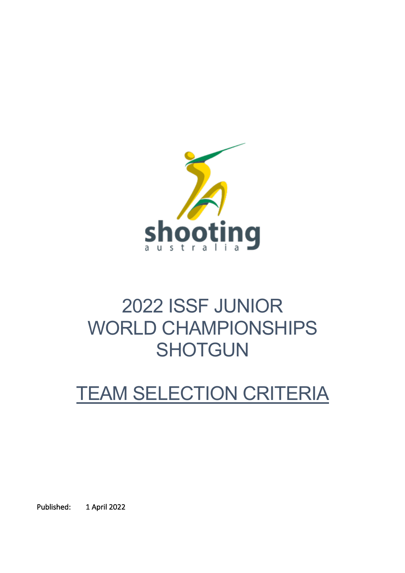

# 2022 ISSF JUNIOR WORLD CHAMPIONSHIPS **SHOTGUN**

# TEAM SELECTION CRITERIA

Published: 1 April 2022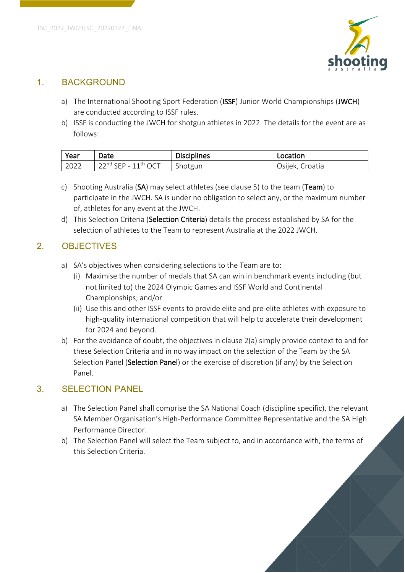

#### 1. BACKGROUND

- a) The International Shooting Sport Federation (ISSF) Junior World Championships (JWCH) are conducted according to ISSF rules.
- b) ISSF is conducting the JWCH for shotgun athletes in 2022. The details for the event are as follows:

| Year | Date                     | <b>Disciplines</b> | Location        |
|------|--------------------------|--------------------|-----------------|
| 2022 | $122nd$ SEP - $11th$ OCT | Shotgun            | Osijek, Croatia |

- c) Shooting Australia (SA) may select athletes (see clause 5) to the team (Team) to participate in the JWCH. SA is under no obligation to select any, or the maximum number of, athletes for any event at the JWCH.
- d) This Selection Criteria (Selection Criteria) details the process established by SA for the selection of athletes to the Team to represent Australia at the 2022 JWCH.

## 2. OBJECTIVES

- a) SA's objectives when considering selections to the Team are to:
	- (i) Maximise the number of medals that SA can win in benchmark events including (but not limited to) the 2024 Olympic Games and ISSF World and Continental Championships; and/or
	- (ii) Use this and other ISSF events to provide elite and pre-elite athletes with exposure to high-quality international competition that will help to accelerate their development for 2024 and beyond.
- b) For the avoidance of doubt, the objectives in clause 2(a) simply provide context to and for these Selection Criteria and in no way impact on the selection of the Team by the SA Selection Panel (Selection Panel) or the exercise of discretion (if any) by the Selection Panel.

### 3. SELECTION PANEL

- a) The Selection Panel shall comprise the SA National Coach (discipline specific), the relevant SA Member Organisation's High-Performance Committee Representative and the SA High Performance Director.
- b) The Selection Panel will select the Team subject to, and in accordance with, the terms of this Selection Criteria.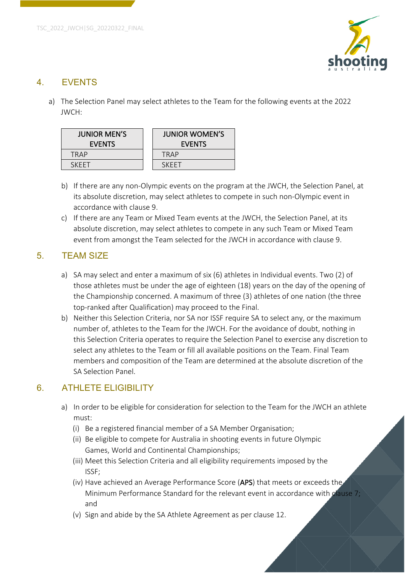

## 4. EVENTS

a) The Selection Panel may select athletes to the Team for the following events at the 2022 JWCH:

| <b>JUNIOR MEN'S</b><br><b>EVENTS</b> | <b>JUNIOR WOMEN'S</b><br><b>EVENTS</b> |  |
|--------------------------------------|----------------------------------------|--|
| TRAP                                 | TRAP                                   |  |
| <b>SKEET</b>                         | SKEET                                  |  |

- b) If there are any non-Olympic events on the program at the JWCH, the Selection Panel, at its absolute discretion, may select athletes to compete in such non-Olympic event in accordance with clause 9.
- c) If there are any Team or Mixed Team events at the JWCH, the Selection Panel, at its absolute discretion, may select athletes to compete in any such Team or Mixed Team event from amongst the Team selected for the JWCH in accordance with clause 9.

## 5. TEAM SIZE

- a) SA may select and enter a maximum of six (6) athletes in Individual events. Two (2) of those athletes must be under the age of eighteen (18) years on the day of the opening of the Championship concerned. A maximum of three (3) athletes of one nation (the three top-ranked after Qualification) may proceed to the Final.
- b) Neither this Selection Criteria, nor SA nor ISSF require SA to select any, or the maximum number of, athletes to the Team for the JWCH. For the avoidance of doubt, nothing in this Selection Criteria operates to require the Selection Panel to exercise any discretion to select any athletes to the Team or fill all available positions on the Team. Final Team members and composition of the Team are determined at the absolute discretion of the SA Selection Panel.

# 6. ATHLETE ELIGIBILITY

- a) In order to be eligible for consideration for selection to the Team for the JWCH an athlete must:
	- (i) Be a registered financial member of a SA Member Organisation;
	- (ii) Be eligible to compete for Australia in shooting events in future Olympic Games, World and Continental Championships;
	- (iii) Meet this Selection Criteria and all eligibility requirements imposed by the ISSF;
	- (iv) Have achieved an Average Performance Score (APS) that meets or exceeds the Minimum Performance Standard for the relevant event in accordance with clause 7; and
	- (v) Sign and abide by the SA Athlete Agreement as per clause 12.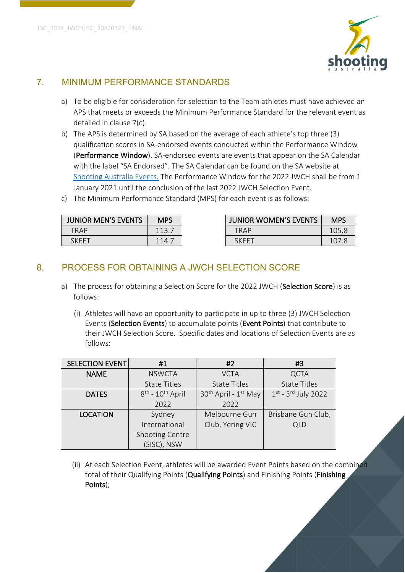

## 7. MINIMUM PERFORMANCE STANDARDS

- a) To be eligible for consideration for selection to the Team athletes must have achieved an APS that meets or exceeds the Minimum Performance Standard for the relevant event as detailed in clause 7(c).
- b) The APS is determined by SA based on the average of each athlete's top three (3) qualification scores in SA-endorsed events conducted within the Performance Window (Performance Window). SA-endorsed events are events that appear on the SA Calendar with the label "SA Endorsed". The SA Calendar can be found on the SA website at Shooting Australia Events. The Performance Window for the 2022 JWCH shall be from 1 January 2021 until the conclusion of the last 2022 JWCH Selection Event.
- c) The Minimum Performance Standard (MPS) for each event is as follows:

| <b>JUNIOR MEN'S EVENTS</b> | <b>MPS</b> |  | <b>JUNIOR WOMEN'S EVENTS</b> | <b>MPS</b> |
|----------------------------|------------|--|------------------------------|------------|
| <b>TRAP</b>                | 113.7      |  | TRAP                         | 105.8      |
| SKEET                      | 114. .     |  | <b>SKFFT</b>                 | 107.       |

## 8. PROCESS FOR OBTAINING A JWCH SELECTION SCORE

- a) The process for obtaining a Selection Score for the 2022 JWCH (Selection Score) is as follows:
	- (i) Athletes will have an opportunity to participate in up to three (3) JWCH Selection Events (Selection Events) to accumulate points (Event Points) that contribute to their JWCH Selection Score. Specific dates and locations of Selection Events are as follows:

| <b>SELECTION EVENT</b> | #1                         | #2                                           | #3                                   |  |
|------------------------|----------------------------|----------------------------------------------|--------------------------------------|--|
| <b>NAME</b>            | <b>NSWCTA</b>              | <b>VCTA</b>                                  | <b>QCTA</b>                          |  |
|                        | <b>State Titles</b>        | <b>State Titles</b>                          | <b>State Titles</b>                  |  |
| <b>DATES</b>           | $8^{th}$ - $10^{th}$ April | 30 <sup>th</sup> April - 1 <sup>st</sup> May | $1^{st}$ - 3 <sup>rd</sup> July 2022 |  |
|                        | 2022                       | 2022                                         |                                      |  |
| <b>LOCATION</b>        | Sydney                     | Melbourne Gun                                | Brisbane Gun Club,                   |  |
|                        | International              | Club, Yering VIC                             | <b>QLD</b>                           |  |
|                        | Shooting Centre            |                                              |                                      |  |
|                        | (SISC), NSW                |                                              |                                      |  |

(ii) At each Selection Event, athletes will be awarded Event Points based on the combined total of their Qualifying Points (Qualifying Points) and Finishing Points (Finishing Points);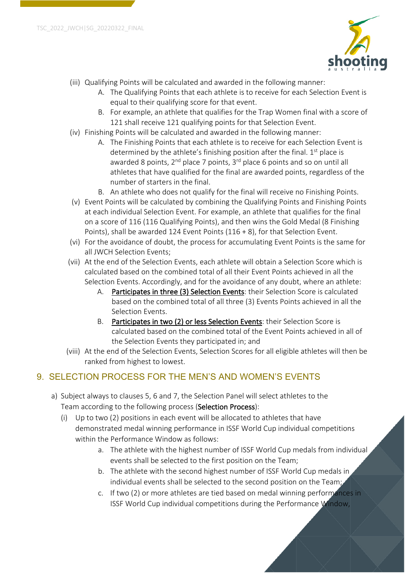

- (iii) Qualifying Points will be calculated and awarded in the following manner:
	- A. The Qualifying Points that each athlete is to receive for each Selection Event is equal to their qualifying score for that event.
	- B. For example, an athlete that qualifies for the Trap Women final with a score of 121 shall receive 121 qualifying points for that Selection Event.
- (iv) Finishing Points will be calculated and awarded in the following manner:
	- A. The Finishing Points that each athlete is to receive for each Selection Event is determined by the athlete's finishing position after the final.  $1<sup>st</sup>$  place is awarded 8 points,  $2^{nd}$  place 7 points,  $3^{rd}$  place 6 points and so on until all athletes that have qualified for the final are awarded points, regardless of the number of starters in the final.
	- B. An athlete who does not qualify for the final will receive no Finishing Points.
- (v) Event Points will be calculated by combining the Qualifying Points and Finishing Points at each individual Selection Event. For example, an athlete that qualifies for the final on a score of 116 (116 Qualifying Points), and then wins the Gold Medal (8 Finishing Points), shall be awarded 124 Event Points (116 + 8), for that Selection Event.
- (vi) For the avoidance of doubt, the process for accumulating Event Points is the same for all JWCH Selection Events;
- (vii) At the end of the Selection Events, each athlete will obtain a Selection Score which is calculated based on the combined total of all their Event Points achieved in all the Selection Events. Accordingly, and for the avoidance of any doubt, where an athlete:
	- A. Participates in three (3) Selection Events: their Selection Score is calculated based on the combined total of all three (3) Events Points achieved in all the Selection Events.
	- B. Participates in two (2) or less Selection Events: their Selection Score is calculated based on the combined total of the Event Points achieved in all of the Selection Events they participated in; and
- (viii) At the end of the Selection Events, Selection Scores for all eligible athletes will then be ranked from highest to lowest.

# 9. SELECTION PROCESS FOR THE MEN'S AND WOMEN'S EVENTS

- a) Subject always to clauses 5, 6 and 7, the Selection Panel will select athletes to the Team according to the following process (Selection Process):
	- (i) Up to two (2) positions in each event will be allocated to athletes that have demonstrated medal winning performance in ISSF World Cup individual competitions within the Performance Window as follows:
		- a. The athlete with the highest number of ISSF World Cup medals from individual events shall be selected to the first position on the Team;
		- b. The athlete with the second highest number of ISSF World Cup medals in individual events shall be selected to the second position on the Team;
		- c. If two (2) or more athletes are tied based on medal winning performances in ISSF World Cup individual competitions during the Performance Window,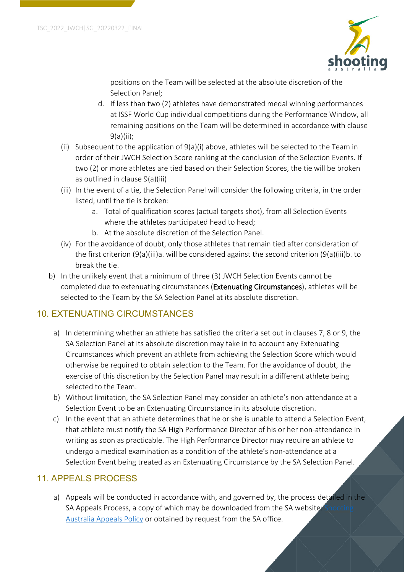

positions on the Team will be selected at the absolute discretion of the Selection Panel;

- d. If less than two (2) athletes have demonstrated medal winning performances at ISSF World Cup individual competitions during the Performance Window, all remaining positions on the Team will be determined in accordance with clause 9(a)(ii);
- (ii) Subsequent to the application of  $9(a)(i)$  above, athletes will be selected to the Team in order of their JWCH Selection Score ranking at the conclusion of the Selection Events. If two (2) or more athletes are tied based on their Selection Scores, the tie will be broken as outlined in clause 9(a)(iii)
- (iii) In the event of a tie, the Selection Panel will consider the following criteria, in the order listed, until the tie is broken:
	- a. Total of qualification scores (actual targets shot), from all Selection Events where the athletes participated head to head;
	- b. At the absolute discretion of the Selection Panel.
- (iv) For the avoidance of doubt, only those athletes that remain tied after consideration of the first criterion (9(a)(iii)a. will be considered against the second criterion (9(a)(iii)b. to break the tie.
- b) In the unlikely event that a minimum of three (3) JWCH Selection Events cannot be completed due to extenuating circumstances (Extenuating Circumstances), athletes will be selected to the Team by the SA Selection Panel at its absolute discretion.

# 10. EXTENUATING CIRCUMSTANCES

- a) In determining whether an athlete has satisfied the criteria set out in clauses 7, 8 or 9, the SA Selection Panel at its absolute discretion may take in to account any Extenuating Circumstances which prevent an athlete from achieving the Selection Score which would otherwise be required to obtain selection to the Team. For the avoidance of doubt, the exercise of this discretion by the Selection Panel may result in a different athlete being selected to the Team.
- b) Without limitation, the SA Selection Panel may consider an athlete's non-attendance at a Selection Event to be an Extenuating Circumstance in its absolute discretion.
- c) In the event that an athlete determines that he or she is unable to attend a Selection Event, that athlete must notify the SA High Performance Director of his or her non-attendance in writing as soon as practicable. The High Performance Director may require an athlete to undergo a medical examination as a condition of the athlete's non-attendance at a Selection Event being treated as an Extenuating Circumstance by the SA Selection Panel.

### 11. APPEALS PROCESS

a) Appeals will be conducted in accordance with, and governed by, the process detailed in the SA Appeals Process, a copy of which may be downloaded from the SA website: Australia Appeals Policy or obtained by request from the SA office.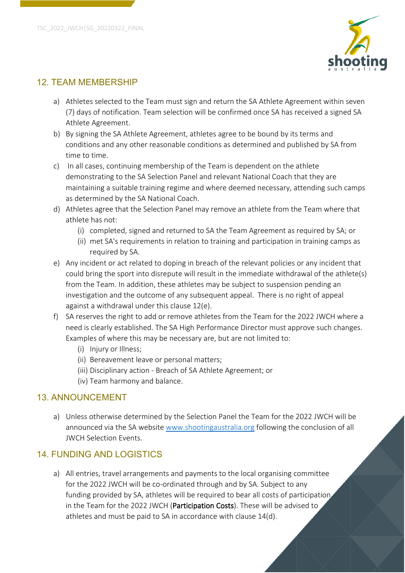

### 12. TEAM MEMBERSHIP

- a) Athletes selected to the Team must sign and return the SA Athlete Agreement within seven (7) days of notification. Team selection will be confirmed once SA has received a signed SA Athlete Agreement.
- b) By signing the SA Athlete Agreement, athletes agree to be bound by its terms and conditions and any other reasonable conditions as determined and published by SA from time to time.
- c) In all cases, continuing membership of the Team is dependent on the athlete demonstrating to the SA Selection Panel and relevant National Coach that they are maintaining a suitable training regime and where deemed necessary, attending such camps as determined by the SA National Coach.
- d) Athletes agree that the Selection Panel may remove an athlete from the Team where that athlete has not:
	- (i) completed, signed and returned to SA the Team Agreement as required by SA; or
	- (ii) met SA's requirements in relation to training and participation in training camps as required by SA.
- e) Any incident or act related to doping in breach of the relevant policies or any incident that could bring the sport into disrepute will result in the immediate withdrawal of the athlete(s) from the Team. In addition, these athletes may be subject to suspension pending an investigation and the outcome of any subsequent appeal. There is no right of appeal against a withdrawal under this clause 12(e).
- f) SA reserves the right to add or remove athletes from the Team for the 2022 JWCH where a need is clearly established. The SA High Performance Director must approve such changes. Examples of where this may be necessary are, but are not limited to:
	- (i) Injury or Illness;
	- (ii) Bereavement leave or personal matters;
	- (iii) Disciplinary action Breach of SA Athlete Agreement; or
	- (iv) Team harmony and balance.

### 13. ANNOUNCEMENT

a) Unless otherwise determined by the Selection Panel the Team for the 2022 JWCH will be announced via the SA website www.shootingaustralia.org following the conclusion of all JWCH Selection Events.

### 14. FUNDING AND LOGISTICS

a) All entries, travel arrangements and payments to the local organising committee for the 2022 JWCH will be co-ordinated through and by SA. Subject to any funding provided by SA, athletes will be required to bear all costs of participation in the Team for the 2022 JWCH (Participation Costs). These will be advised to athletes and must be paid to SA in accordance with clause 14(d).